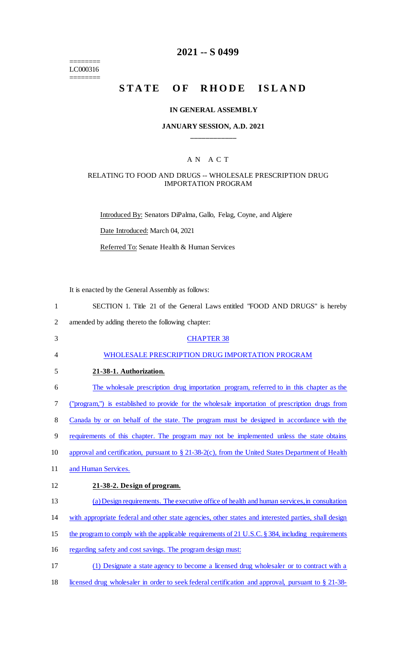======== LC000316 ========

# **2021 -- S 0499**

# **STATE OF RHODE ISLAND**

### **IN GENERAL ASSEMBLY**

### **JANUARY SESSION, A.D. 2021 \_\_\_\_\_\_\_\_\_\_\_\_**

### A N A C T

### RELATING TO FOOD AND DRUGS -- WHOLESALE PRESCRIPTION DRUG IMPORTATION PROGRAM

Introduced By: Senators DiPalma, Gallo, Felag, Coyne, and Algiere

Date Introduced: March 04, 2021

Referred To: Senate Health & Human Services

It is enacted by the General Assembly as follows:

| $\mathbf{1}$   | SECTION 1. Title 21 of the General Laws entitled "FOOD AND DRUGS" is hereby                          |
|----------------|------------------------------------------------------------------------------------------------------|
| $\overline{2}$ | amended by adding thereto the following chapter:                                                     |
| 3              | <b>CHAPTER 38</b>                                                                                    |
| 4              | WHOLESALE PRESCRIPTION DRUG IMPORTATION PROGRAM                                                      |
| 5              | 21-38-1. Authorization.                                                                              |
| 6              | The wholesale prescription drug importation program, referred to in this chapter as the              |
| 7              | ("program,") is established to provide for the wholesale importation of prescription drugs from      |
| 8              | Canada by or on behalf of the state. The program must be designed in accordance with the             |
| 9              | requirements of this chapter. The program may not be implemented unless the state obtains            |
| 10             | approval and certification, pursuant to § 21-38-2(c), from the United States Department of Health    |
| 11             | and Human Services.                                                                                  |
| 12             | 21-38-2. Design of program.                                                                          |
| 13             | (a) Design requirements. The executive office of health and human services, in consultation          |
| 14             | with appropriate federal and other state agencies, other states and interested parties, shall design |
| 15             | the program to comply with the applicable requirements of 21 U.S.C. § 384, including requirements    |
| 16             | regarding safety and cost savings. The program design must:                                          |
| 17             | (1) Designate a state agency to become a licensed drug wholesaler or to contract with a              |

18 licensed drug wholesaler in order to seek federal certification and approval, pursuant to § 21-38-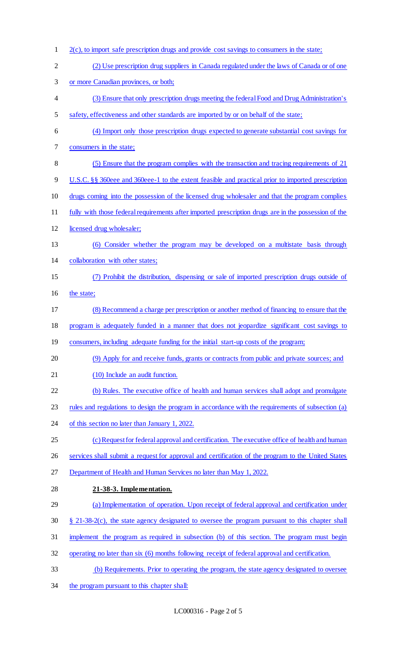2(c), to import safe prescription drugs and provide cost savings to consumers in the state; (2) Use prescription drug suppliers in Canada regulated under the laws of Canada or of one or more Canadian provinces, or both; (3) Ensure that only prescription drugs meeting the federal Food and Drug Administration's safety, effectiveness and other standards are imported by or on behalf of the state; (4) Import only those prescription drugs expected to generate substantial cost savings for consumers in the state; (5) Ensure that the program complies with the transaction and tracing requirements of 21 U.S.C. §§ 360eee and 360eee-1 to the extent feasible and practical prior to imported prescription drugs coming into the possession of the licensed drug wholesaler and that the program complies fully with those federal requirements after imported prescription drugs are in the possession of the licensed drug wholesaler; (6) Consider whether the program may be developed on a multistate basis through collaboration with other states; (7) Prohibit the distribution, dispensing or sale of imported prescription drugs outside of 16 the state; (8) Recommend a charge per prescription or another method of financing to ensure that the program is adequately funded in a manner that does not jeopardize significant cost savings to 19 consumers, including adequate funding for the initial start-up costs of the program; (9) Apply for and receive funds, grants or contracts from public and private sources; and 21 (10) Include an audit function. (b) Rules. The executive office of health and human services shall adopt and promulgate rules and regulations to design the program in accordance with the requirements of subsection (a) of this section no later than January 1, 2022. 25 (c) Request for federal approval and certification. The executive office of health and human services shall submit a request for approval and certification of the program to the United States Department of Health and Human Services no later than May 1, 2022. **21-38-3. Implementation.**  (a) Implementation of operation. Upon receipt of federal approval and certification under § 21-38-2(c), the state agency designated to oversee the program pursuant to this chapter shall implement the program as required in subsection (b) of this section. The program must begin operating no later than six (6) months following receipt of federal approval and certification. (b) Requirements. Prior to operating the program, the state agency designated to oversee 34 the program pursuant to this chapter shall: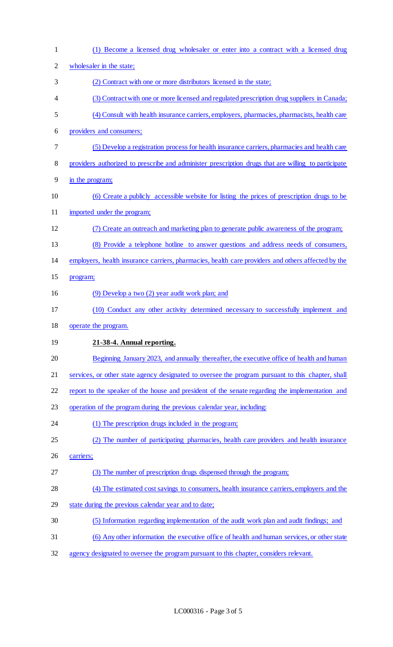| $\mathbf{1}$   | (1) Become a licensed drug wholesaler or enter into a contract with a licensed drug                 |
|----------------|-----------------------------------------------------------------------------------------------------|
| $\overline{c}$ | wholesaler in the state;                                                                            |
| 3              | (2) Contract with one or more distributors licensed in the state;                                   |
| 4              | (3) Contract with one or more licensed and regulated prescription drug suppliers in Canada;         |
| 5              | (4) Consult with health insurance carriers, employers, pharmacies, pharmacists, health care         |
| 6              | providers and consumers;                                                                            |
| 7              | (5) Develop a registration process for health insurance carriers, pharmacies and health care        |
| 8              | providers authorized to prescribe and administer prescription drugs that are willing to participate |
| 9              | in the program;                                                                                     |
| 10             | (6) Create a publicly accessible website for listing the prices of prescription drugs to be         |
| 11             | imported under the program;                                                                         |
| 12             | (7) Create an outreach and marketing plan to generate public awareness of the program;              |
| 13             | (8) Provide a telephone hotline to answer questions and address needs of consumers,                 |
| 14             | employers, health insurance carriers, pharmacies, health care providers and others affected by the  |
| 15             | program;                                                                                            |
| 16             | (9) Develop a two (2) year audit work plan; and                                                     |
| 17             | (10) Conduct any other activity determined necessary to successfully implement and                  |
| 18             | operate the program.                                                                                |
| 19             | 21-38-4. Annual reporting.                                                                          |
| 20             | Beginning January 2023, and annually thereafter, the executive office of health and human           |
| 21             | services, or other state agency designated to oversee the program pursuant to this chapter, shall   |
| 22             | report to the speaker of the house and president of the senate regarding the implementation and     |
| 23             | operation of the program during the previous calendar year, including:                              |
| 24             | (1) The prescription drugs included in the program;                                                 |
| 25             | (2) The number of participating pharmacies, health care providers and health insurance              |
| 26             | carriers;                                                                                           |
| 27             | (3) The number of prescription drugs dispensed through the program;                                 |
| 28             | (4) The estimated cost savings to consumers, health insurance carriers, employers and the           |
| 29             | state during the previous calendar year and to date;                                                |
| 30             | (5) Information regarding implementation of the audit work plan and audit findings; and             |
| 31             | (6) Any other information the executive office of health and human services, or other state         |
| 32             | agency designated to oversee the program pursuant to this chapter, considers relevant.              |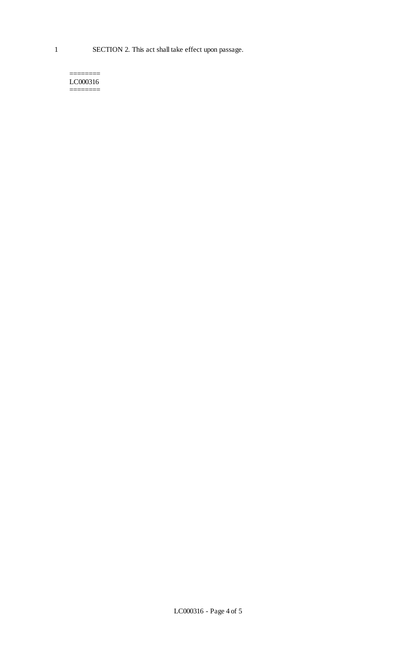#### ======== LC000316 ========